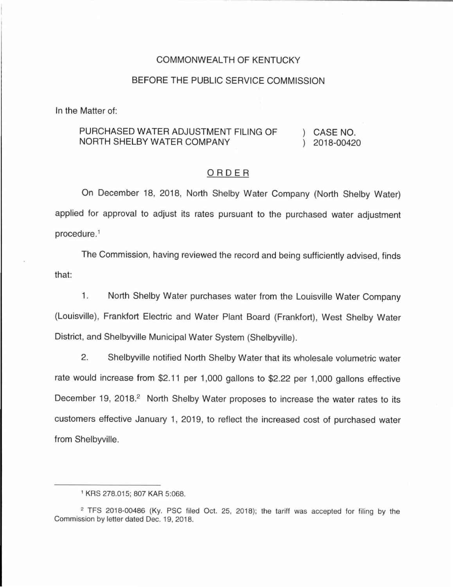#### COMMONWEALTH OF KENTUCKY

## BEFORE THE PUBLIC SERVICE COMMISSION

In the Matter of:

#### PURCHASED WATER ADJUSTMENT FILING OF NORTH SHELBY WATER COMPANY CASE NO. 2018-00420

### ORDER

On December 18, 2018, North Shelby Water Company (North Shelby Water) applied for approval to adjust its rates pursuant to the purchased water adjustment procedure. 1

The Commission, having reviewed the record and being sufficiently advised, finds that:

1. North Shelby Water purchases water from the Louisville Water Company (Louisville), Frankfort Electric and Water Plant Board (Frankfort), West Shelby Water District, and Shelbyville Municipal Water System (Shelbyville).

2. Shelbyville notified North Shelby Water that its wholesale volumetric water rate would increase from \$2.11 per 1,000 gallons to \$2.22 per 1,000 gallons effective December 19, 2018.<sup>2</sup> North Shelby Water proposes to increase the water rates to its customers effective January 1, 2019, to reflect the increased cost of purchased water from Shelbyville.

<sup>1</sup>KRS 278.015; 807 KAR 5:068.

<sup>2</sup> TFS 2018-00486 (Ky. PSC filed Oct. 25, 2018); the tariff was accepted for filing by the Commission by letter dated Dec. 19, 2018.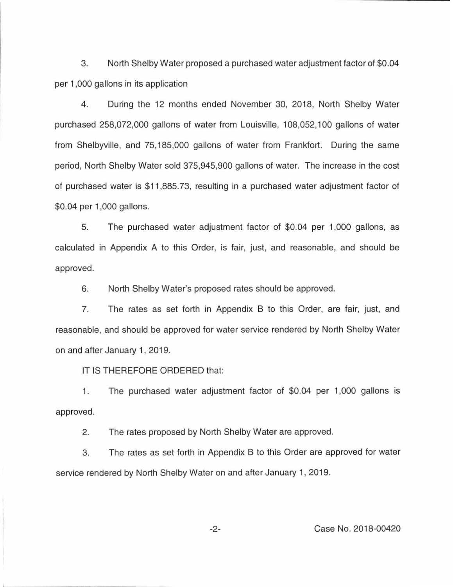3. North Shelby Water proposed a purchased water adjustment factor of \$0.04 per 1 ,000 gallons in its application

4. During the 12 months ended November 30, 2018, North Shelby Water purchased 258,072,000 gallons of water from Louisville, 108,052, 100 gallons of water from Shelbyville, and 75, 185,000 gallons of water from Frankfort. During the same period, North Shelby Water sold 375,945,900 gallons of water. The increase in the cost of purchased water is \$11 ,885.73, resulting in a purchased water adjustment factor of \$0.04 per 1,000 gallons.

5. The purchased water adjustment factor of \$0.04 per 1,000 gallons, as calculated in Appendix A to this Order, is fair, just, and reasonable, and should be approved.

6. North Shelby Water's proposed rates should be approved.

7. The rates as set forth in Appendix B to this Order, are fair, just, and reasonable, and should be approved for water service rendered by North Shelby Water on and after January 1, 2019.

IT IS THEREFORE ORDERED that:

1. The purchased water adjustment factor of \$0.04 per 1,000 gallons is approved.

2. The rates proposed by North Shelby Water are approved.

3. The rates as set forth in Appendix B to this Order are approved for water service rendered by North Shelby Water on and after January 1, 2019.

-2- Case No. 2018-00420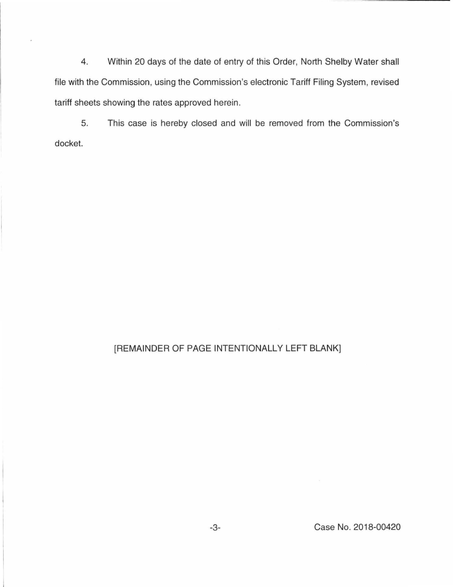4. Within 20 days of the date of entry of this Order, North Shelby Water shall file with the Commission, using the Commission's electronic Tariff Filing System, revised tariff sheets showing the rates approved herein.

5. This case is hereby closed and will be removed from the Commission's docket.

# [REMAINDER OF PAGE INTENTIONALLY LEFT BLANK]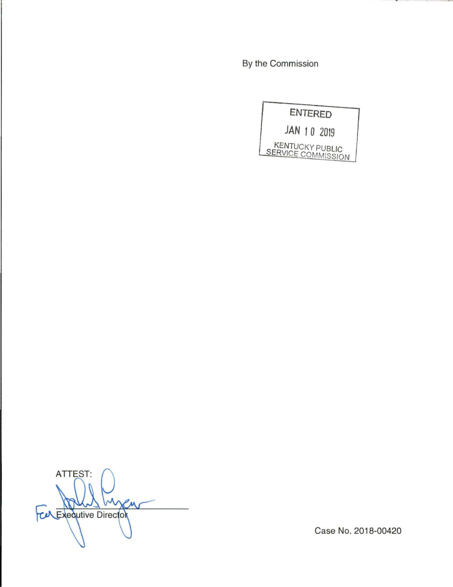By the Commission



ATTEST: **CALExecutive Director** 

Case No. 2018-00420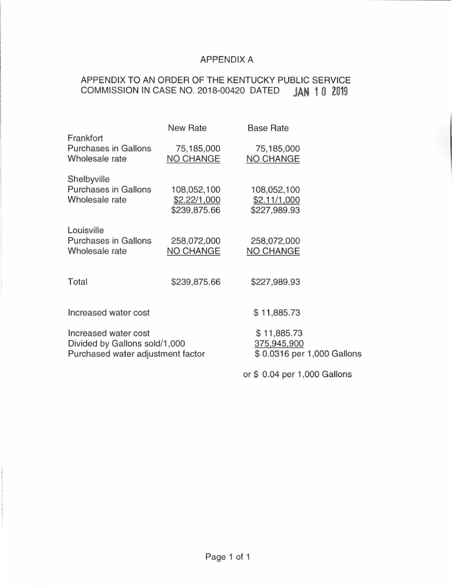## APPENDIX A

# APPENDIX TO AN ORDER OF **THE** KENTUCKY PUBLIC SERVICE COMMISSION IN CASE NO. 2018-00420 DATED **JAN 1 0 2019**

|                                                                                            | <b>New Rate</b>                             | <b>Base Rate</b>                                         |  |
|--------------------------------------------------------------------------------------------|---------------------------------------------|----------------------------------------------------------|--|
| Frankfort<br><b>Purchases in Gallons</b><br>Wholesale rate                                 | 75,185,000<br>NO CHANGE                     | 75,185,000<br>NO CHANGE                                  |  |
| Shelbyville<br><b>Purchases in Gallons</b><br>Wholesale rate                               | 108,052,100<br>\$2.22/1,000<br>\$239,875.66 | 108,052,100<br>\$2.11/1,000<br>\$227,989.93              |  |
| Louisville<br><b>Purchases in Gallons</b><br>Wholesale rate                                | 258,072,000<br><b>NO CHANGE</b>             | 258,072,000<br>NO CHANGE                                 |  |
| Total                                                                                      | \$239,875.66                                | \$227,989.93                                             |  |
| Increased water cost                                                                       |                                             | \$11,885.73                                              |  |
| Increased water cost<br>Divided by Gallons sold/1,000<br>Purchased water adjustment factor |                                             | \$11,885.73<br>375,945,900<br>\$0.0316 per 1,000 Gallons |  |
|                                                                                            |                                             | or \$ 0.04 per 1,000 Gallons                             |  |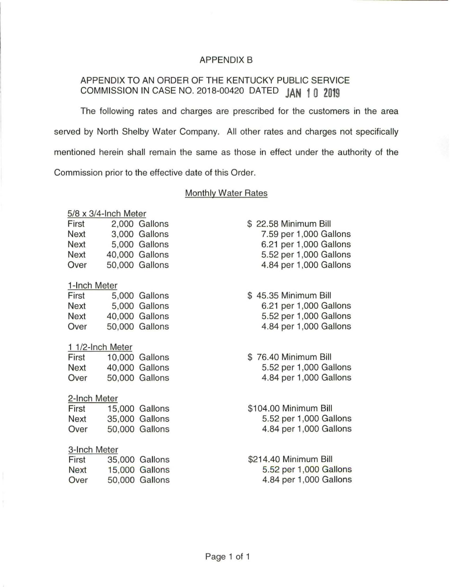## APPENDIX B

# APPENDIX TO AN ORDER OF THE KENTUCKY PUBLIC SERVICE COMMISSION IN CASE NO. 2018-00420 DATED **JAN 1 0 2019**

The following rates and charges are prescribed for the customers in the area served by North Shelby Water Company. All other rates and charges not specifically mentioned herein shall remain the same as those in effect under the authority of the Commission prior to the effective date of this Order.

### Monthly Water Rates

## 5/8 x 3/4-lnch Meter

| First | 2,000 Gallons  |
|-------|----------------|
| Next  | 3,000 Gallons  |
| Next  | 5.000 Gallons  |
| Next  | 40,000 Gallons |
| Over  | 50,000 Gallons |

## 1-lnch Meter

| First | 5,000 Gallons  |
|-------|----------------|
| Next  | 5,000 Gallons  |
| Next  | 40,000 Gallons |
| Over  | 50,000 Gallons |

## 1 1/2-lnch Meter

| First | 10,000 Gallons |
|-------|----------------|
| Next  | 40,000 Gallons |
| Over  | 50,000 Gallons |

## 2-lnch Meter

| First | 15,000 Gallons |
|-------|----------------|
| Next  | 35,000 Gallons |
| Over  | 50,000 Gallons |

## 3-lnch Meter

| First       | 35,000 Gallons        |
|-------------|-----------------------|
| <b>Next</b> | <b>15,000 Gallons</b> |
| Over        | 50,000 Gallons        |

- \$ 22.58 Minimum Bill 7.59 per 1,000 Gallons 6.21 per 1,000 Gallons 5.52 per 1,000 Gallons 4.84 per 1,000 Gallons
- \$ 45.35 Minimum Bill 6.21 per 1,000 Gallons 5.52 per 1 ,000 Gallons 4.84 per 1 ,000 Gallons
- \$ 76.40 Minimum Bill 5.52 per 1 ,000 Gallons 4.84 per 1,000 Gallons
- \$104.00 Minimum Bill 5.52 per 1,000 Gallons 4.84 per 1 ,000 Gallons
- \$214.40 Minimum Bill 5.52 per 1,000 Gallons 4.84 per 1 ,000 Gallons